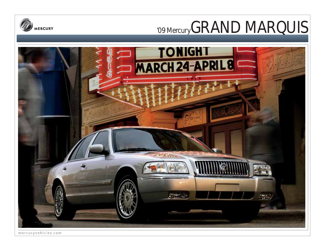



mercuryvehicles.com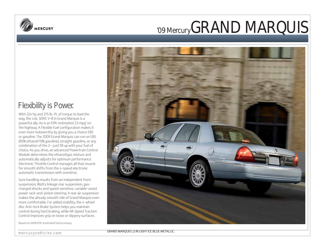

### Flexibility is Power.

With 224 hp and 275 lb.-ft. of torque to lead the way, the 4.6L SOHC V-8 in Grand Marquis is a powerful ally. As is an EPA-estimated 23 mpg<sup>1</sup> on the highway. A Flexible Fuel configuration makes it even more noteworthy by giving you a choice: E85 or gasoline. The 2009 Grand Marquis can run on E85 (85% ethanol/15% gasoline), straight gasoline, or any combination of the 2 – just fill up with your fuel of choice. As you drive, an advanced Powertrain Control Module determines the ethanol/gas mixture and automatically adjusts for optimum performance. Electronic Throttle Control manages all that muscle for smooth shifts from the 4-speed electronic automatic transmission with overdrive.

Sure handling results from an independent front suspension, Watts linkage rear suspension, gascharged shocks and speed-sensitive, variable-assist power rack-and-pinion steering. A rear air suspension makes the already smooth ride of Grand Marquis even more comfortable. For added stability, the 4-wheel disc Anti-lock Brake System helps you maintain control during hard braking, while All-Speed Traction Control improves grip on loose or slippery surfaces.

1 Based on 2008 EPA-estimated fuel economy.



GRAND MARQUIS LS IN LIGHT ICE BLUE METALLIC.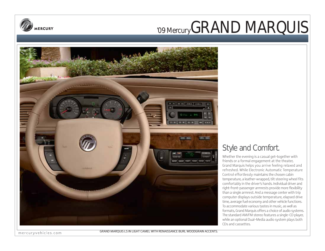



## Style and Comfort.

Whether the evening is a casual get-together with friends or a formal engagement at the theater, Grand Marquis helps you arrive feeling relaxed and refreshed. While Electronic Automatic Temperature Control effortlessly maintains the chosen cabin temperature, a leather-wrapped, tilt steering wheel fits comfortably in the driver's hands. Individual driver and right-front-passenger armrests provide more flexibility than a single armrest. And a message center with trip computer displays outside temperature, elapsed drive time, average fuel economy and other vehicle functions. To accommodate various tastes in music, as well as formats, Grand Marquis offers a choice of audio systems. The standard AM/FM stereo features a single-CD player, while an optional Dual-Media audio system plays both CDs and cassettes.

mercuryvehicles.com

GRAND MARQUIS LS IN LIGHT CAMEL WITH RENAISSANCE BURL WOODGRAIN ACCENTS.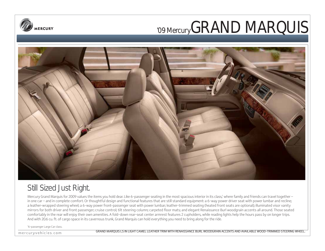



## Still Sized Just Right.

Mercury Grand Marquis for 2009 values the items you hold dear. Like 6-passenger seating in the most spacious interior in its class,' where family and friends can travel together – in one car – and in complete comfort. Or thoughtful design and functional features that are still standard equipment: a 6-way power driver seat with power lumbar and recline; a leather-wrapped steering wheel; a 6-way power front-passenger seat with power lumbar; leather-trimmed seating (heated front seats are optional); illuminated visor vanity mirrors for both driver and front passenger; cruise control; tilt steering column; carpeted floor mats; and elegant Renaissance Burl woodgrain accents all around. Those seated comfortably in the rear will enjoy their own amenities. A fold-down rear-seat center armrest features 2 cupholders, while reading lights help the hours pass by on longer trips. And with 20.6 cu. ft. of cargo space in its cavernous trunk, Grand Marquis can hold everything you need to bring along for the ride.

1 6-passenger Large Car class.

mercuryvehicles.com

GRAND MARQUIS LS IN LIGHT CAMEL LEATHER TRIM WITH RENAISSANCE BURL WOODGRAIN ACCENTS AND AVAILABLE WOOD-TRIMMED STEERING WHEEL.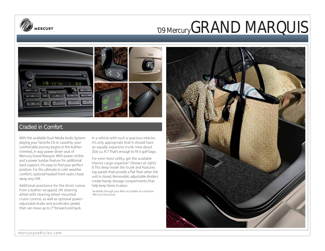



### Cradled in Comfort.

With the available Dual-Media Audio System playing your favorite CD or cassette, your comfortable journey begins in the leathertrimmed, 6-way power driver seat of Mercury Grand Marquis. With power recline and a power lumbar feature for additional back support, it's easy to find your perfect position. For the ultimate in cold-weather comfort, optional heated front seats chase away any chill.

Additional assistance for the driver comes from a leather-wrapped, tilt steering wheel with steering wheel-mounted cruise control, as well as optional poweradjustable brake and accelerator pedals that can move up to 2" forward and back.

In a vehicle with such a spacious interior, it's only appropriate that it should have an equally expansive trunk. How about 20.6 cu. ft.? That's enough to fit 6 golf bags.

For even more utility, get the available interior cargo organizer1 (shown at right). It fits deep inside the trunk and features top panels that provide a flat floor when the unit is closed. Removable, adjustable dividers create handy storage compartments that help keep items in place.

1 Available through your Mercury Dealer as a Genuine Mercury Accessory.

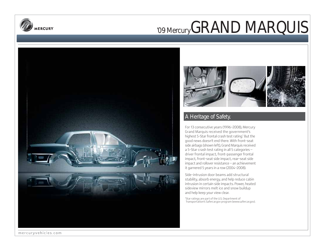





### A Heritage of Safety.

For 13 consecutive years (1996–2008), Mercury Grand Marquis received the government's highest 5-Star frontal crash test rating.<sup>1</sup> But the good news doesn't end there. With front-seat side airbags (shown left), Grand Marquis received a 5-Star crash test rating in all 5 categories – driver frontal impact, front-passenger frontal impact, front-seat side impact, rear-seat side impact and rollover resistance – an achievement it garnered 5 years in a row (2004–2008).

Side-intrusion door beams add structural stability, absorb energy, and help reduce cabin intrusion in certain side impacts. Power, heated sideview mirrors melt ice and snow buildup and help keep your view clear.

1 Star ratings are part of the U.S. Department of Transportation's Safercar.gov program (www.safercar.gov).

mercuryvehicles.com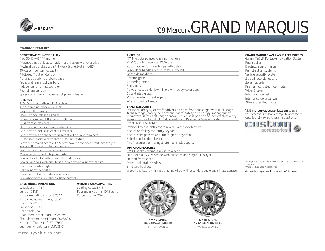

#### **STANDARD FEATURES**

### **POWERTRAIN/FUNCTIONALITY**

### **BASE MODEL DIMENSIONS**

Wheelbase 114.6" Length 211.1" Width (excluding mirrors) 78.3" Width (including mirrors) 85.7" Height 58.3" Front track 63.4" Rear track 65.6" Head room (front/rear) 39.5"/37.8" Shoulder room (front/rear) 60.6"/60.0" Hip room (front/rear) 57.4"/56.1" Leg room (front/rear) 41.6"/38.0"

mercuryvehicles.com

### **WEIGHTS AND CAPACITIES**

Seating capacity 6 Passenger volume 107.5 cu. ft. Cargo volume 20.6 cu. ft.

| <b>EXTERIOR</b>                                     |
|-----------------------------------------------------|
| 17" 14-spoke painted-aluminum wheels                |
| P225/60TR17 all-season WSW tires                    |
| Automatic on/off headlamps with delay               |
| Black door handles with chrome surround             |
| Bodyside moldings                                   |
| Chrome grille                                       |
| Cornering lamps                                     |
| Fog lamps                                           |
| Power, heated sideview mirrors with body-color caps |
| Solar-tinted glass                                  |
| Variable-intermittent wipers                        |
| Wraparound taillamps                                |
|                                                     |

### **SAFETY/SECURITY**

Personal Safety System® for driver and right-front passenger with dual-stage<br>front airbags,' safety belt pretensioners, safety belt energy-management<br>retractors, safety belt usage sensors, driver-seat position sensor, cras

Front-seat side airbags<sup>1</sup> Remote keyless-entry system with SmartLock feature SecuriCode<sup>™</sup> keyless-entry keypad SecuriLock® passive anti-theft ignition system Side-intrusion door beams Tire Pressure Monitoring System (excludes spare)

### **OPTIONAL FEATURES**

17" 18-spoke chrome-aluminum wheels Dual-Media AM/FM stereo with cassette and single-CD player Heated front seats Power-adjustable pedals Smoker's Package Wood- and leather-trimmed steering wheel with secondary audio and climate controls



| <u>Rear spoiler</u><br>Electrochromic mirrors<br>Remote start systems<br>Vehicle security system<br>Side window deflectors<br>Splash guards<br>Premium carpeted floor mats<br>Wiper Shaker <sup>2</sup><br>Interior cargo net<br>Interior cargo organizer<br>All-weather floor mats | Garmin® nüvi® Portable Navigation System <sup>2</sup> |
|-------------------------------------------------------------------------------------------------------------------------------------------------------------------------------------------------------------------------------------------------------------------------------------|-------------------------------------------------------|
|                                                                                                                                                                                                                                                                                     |                                                       |
|                                                                                                                                                                                                                                                                                     |                                                       |
|                                                                                                                                                                                                                                                                                     |                                                       |
|                                                                                                                                                                                                                                                                                     |                                                       |
|                                                                                                                                                                                                                                                                                     |                                                       |
|                                                                                                                                                                                                                                                                                     |                                                       |
|                                                                                                                                                                                                                                                                                     |                                                       |
|                                                                                                                                                                                                                                                                                     |                                                       |
|                                                                                                                                                                                                                                                                                     |                                                       |
|                                                                                                                                                                                                                                                                                     |                                                       |
|                                                                                                                                                                                                                                                                                     |                                                       |
|                                                                                                                                                                                                                                                                                     |                                                       |

### Visit mercuryaccessories.com to use

the Accessorizer, learn complete accessory details and view purchase instructions. p



1 Always wear your safety belt and secure children in the rear seat. 2 Mercury Licensed Accessories.

Garmin is a registered trademark of Garmin Ltd.



**17" 14-SPOKE PAINTED-ALUMINUM** STANDARD ON LS



**17" 18-SPOKE CHROME-ALUMINUM** AVAILABLE ON LS